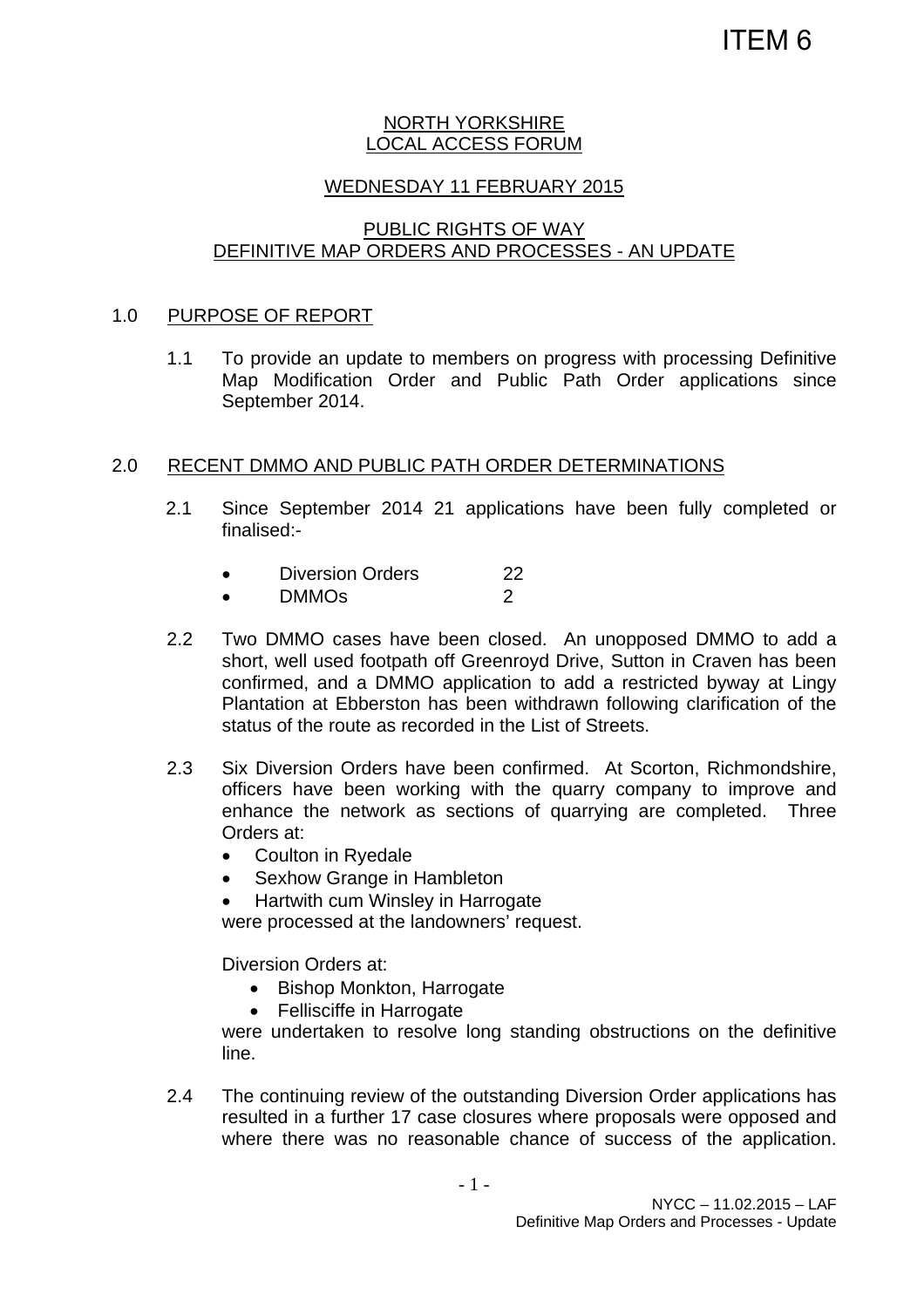#### NORTH YORKSHIRE LOCAL ACCESS FORUM

## WEDNESDAY 11 FEBRUARY 2015

# PUBLIC RIGHTS OF WAY DEFINITIVE MAP ORDERS AND PROCESSES - AN UPDATE

### 1.0 PURPOSE OF REPORT

1.1 To provide an update to members on progress with processing Definitive Map Modification Order and Public Path Order applications since September 2014.

### 2.0 RECENT DMMO AND PUBLIC PATH ORDER DETERMINATIONS

- 2.1 Since September 2014 21 applications have been fully completed or finalised:-
	- Diversion Orders 22
	- DMMOs 2
- 2.2 Two DMMO cases have been closed. An unopposed DMMO to add a short, well used footpath off Greenroyd Drive, Sutton in Craven has been confirmed, and a DMMO application to add a restricted byway at Lingy Plantation at Ebberston has been withdrawn following clarification of the status of the route as recorded in the List of Streets.
- 2.3 Six Diversion Orders have been confirmed. At Scorton, Richmondshire, officers have been working with the quarry company to improve and enhance the network as sections of quarrying are completed. Three Orders at:
	- Coulton in Ryedale
	- Sexhow Grange in Hambleton
	- Hartwith cum Winsley in Harrogate

were processed at the landowners' request.

Diversion Orders at:

- Bishop Monkton, Harrogate
- Fellisciffe in Harrogate

were undertaken to resolve long standing obstructions on the definitive line.

2.4 The continuing review of the outstanding Diversion Order applications has resulted in a further 17 case closures where proposals were opposed and where there was no reasonable chance of success of the application.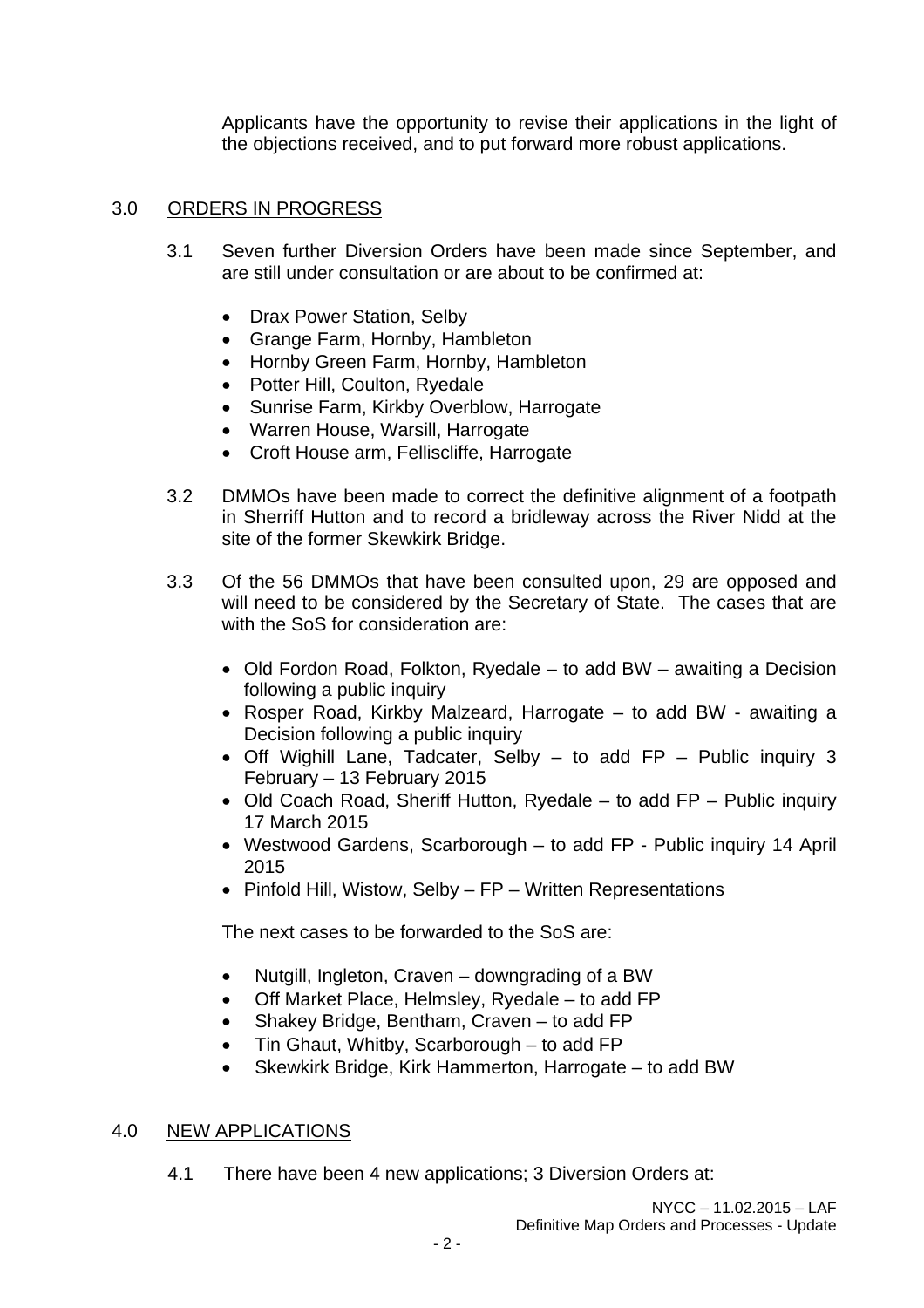Applicants have the opportunity to revise their applications in the light of the objections received, and to put forward more robust applications.

# 3.0 ORDERS IN PROGRESS

- 3.1 Seven further Diversion Orders have been made since September, and are still under consultation or are about to be confirmed at:
	- Drax Power Station, Selby
	- Grange Farm, Hornby, Hambleton
	- Hornby Green Farm, Hornby, Hambleton
	- Potter Hill, Coulton, Ryedale
	- Sunrise Farm, Kirkby Overblow, Harrogate
	- Warren House, Warsill, Harrogate
	- Croft House arm, Felliscliffe, Harrogate
- 3.2 DMMOs have been made to correct the definitive alignment of a footpath in Sherriff Hutton and to record a bridleway across the River Nidd at the site of the former Skewkirk Bridge.
- 3.3 Of the 56 DMMOs that have been consulted upon, 29 are opposed and will need to be considered by the Secretary of State. The cases that are with the SoS for consideration are:
	- Old Fordon Road, Folkton, Ryedale to add BW awaiting a Decision following a public inquiry
	- Rosper Road, Kirkby Malzeard, Harrogate to add BW awaiting a Decision following a public inquiry
	- Off Wighill Lane, Tadcater, Selby to add FP Public inquiry 3 February – 13 February 2015
	- Old Coach Road, Sheriff Hutton, Ryedale to add FP Public inquiry 17 March 2015
	- Westwood Gardens, Scarborough to add FP Public inquiry 14 April 2015
	- Pinfold Hill, Wistow, Selby FP Written Representations

The next cases to be forwarded to the SoS are:

- Nutgill, Ingleton, Craven downgrading of a BW
- Off Market Place, Helmsley, Ryedale to add FP
- Shakey Bridge, Bentham, Craven to add FP
- Tin Ghaut, Whitby, Scarborough to add FP
- Skewkirk Bridge, Kirk Hammerton, Harrogate to add BW

### 4.0 NEW APPLICATIONS

4.1 There have been 4 new applications; 3 Diversion Orders at: